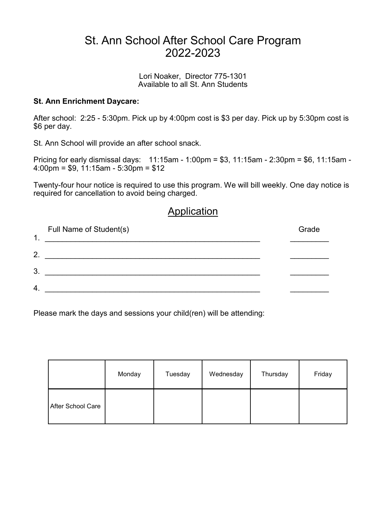## St. Ann School After School Care Program 2022-2023

Lori Noaker, Director 775-1301 Available to all St. Ann Students

## **St. Ann Enrichment Daycare:**

After school: 2:25 - 5:30pm. Pick up by 4:00pm cost is \$3 per day. Pick up by 5:30pm cost is \$6 per day.

St. Ann School will provide an after school snack.

Pricing for early dismissal days: 11:15am - 1:00pm = \$3, 11:15am - 2:30pm = \$6, 11:15am - 4:00pm = \$9, 11:15am - 5:30pm = \$12

Twenty-four hour notice is required to use this program. We will bill weekly. One day notice is required for cancellation to avoid being charged.

## Application

| 1.               | Full Name of Student(s) | Grade |
|------------------|-------------------------|-------|
| 2.               |                         |       |
| 3.               |                         |       |
| $\overline{4}$ . |                         |       |

Please mark the days and sessions your child(ren) will be attending:

|                   | Monday | Tuesday | Wednesday | Thursday | Friday |
|-------------------|--------|---------|-----------|----------|--------|
| After School Care |        |         |           |          |        |